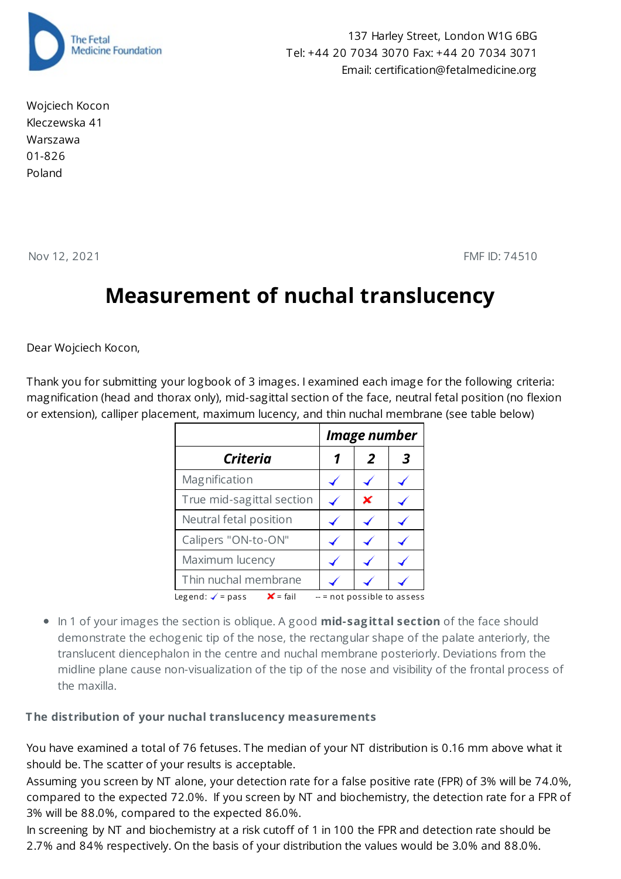

Wojciech Kocon Kleczewska 41 Warszawa 01-826 Poland

137 Harley Street, London W1G 6BG Tel: +44 20 7034 3070 Fax: +44 20 7034 3071 Email: certification@fetalmedicine.org

Nov 12, 2021 **FMF ID: 74510** 

## **Measurement of nuchal translucency**

Dear Wojciech Kocon,

Thank you for submitting your logbook of 3 images. I examined each image for the following criteria: magnification (head and thorax only), mid-sagittal section of the face, neutral fetal position (no flexion or extension), calliper placement, maximum lucency, and thin nuchal membrane (see table below)

|                                                  | Image number |                              |  |
|--------------------------------------------------|--------------|------------------------------|--|
| Criteria                                         |              | 2                            |  |
| Magnification                                    |              |                              |  |
| True mid-sagittal section                        |              | x                            |  |
| Neutral fetal position                           |              |                              |  |
| Calipers "ON-to-ON"                              |              |                              |  |
| Maximum lucency                                  |              |                              |  |
| Thin nuchal membrane                             |              |                              |  |
| $X = \text{fail}$<br>Legend: $\checkmark$ = pass |              | $-$ = not possible to assess |  |

In 1 of your images the section is oblique. A good **mid-sag ittal section** of the face should demonstrate the echogenic tip of the nose, the rectangular shape of the palate anteriorly, the translucent diencephalon in the centre and nuchal membrane posteriorly. Deviations from the midline plane cause non-visualization of the tip of the nose and visibility of the frontal process of the maxilla.

## **The distribution of your nuchal translucency measurements**

You have examined a total of 76 fetuses. The median of your NT distribution is 0.16 mm above what it should be. The scatter of your results is acceptable.

Assuming you screen by NT alone, your detection rate for a false positive rate (FPR) of 3% will be 74.0%, compared to the expected 72.0%. If you screen by NT and biochemistry, the detection rate for a FPR of 3% will be 88.0%, compared to the expected 86.0%.

In screening by NT and biochemistry at a risk cutoff of 1 in 100 the FPR and detection rate should be 2.7% and 84% respectively. On the basis of your distribution the values would be 3.0% and 88.0%.